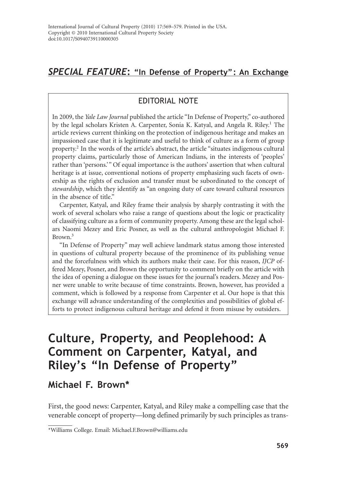# *SPECIAL FEATURE***: "In Defense of Property": An Exchange**

## EDITORIAL NOTE

In 2009, the *Yale Law Journal* published the article "In Defense of Property," co-authored by the legal scholars Kristen A. Carpenter, Sonia K. Katyal, and Angela R. Riley.<sup>1</sup> The article reviews current thinking on the protection of indigenous heritage and makes an impassioned case that it is legitimate and useful to think of culture as a form of group property.2 In the words of the article's abstract, the article "situates indigenous cultural property claims, particularly those of American Indians, in the interests of 'peoples' rather than 'persons.'" Of equal importance is the authors' assertion that when cultural heritage is at issue, conventional notions of property emphasizing such facets of ownership as the rights of exclusion and transfer must be subordinated to the concept of *stewardship*, which they identify as "an ongoing duty of care toward cultural resources in the absence of title."

Carpenter, Katyal, and Riley frame their analysis by sharply contrasting it with the work of several scholars who raise a range of questions about the logic or practicality of classifying culture as a form of community property. Among these are the legal scholars Naomi Mezey and Eric Posner, as well as the cultural anthropologist Michael F. Brown.3

"In Defense of Property" may well achieve landmark status among those interested in questions of cultural property because of the prominence of its publishing venue and the forcefulness with which its authors make their case. For this reason, *IJCP* offered Mezey, Posner, and Brown the opportunity to comment briefly on the article with the idea of opening a dialogue on these issues for the journal's readers. Mezey and Posner were unable to write because of time constraints. Brown, however, has provided a comment, which is followed by a response from Carpenter et al. Our hope is that this exchange will advance understanding of the complexities and possibilities of global efforts to protect indigenous cultural heritage and defend it from misuse by outsiders.

# **Culture, Property, and Peoplehood: A Comment on Carpenter, Katyal, and Riley's "In Defense of Property"**

## **Michael F. Brown\***

First, the good news: Carpenter, Katyal, and Riley make a compelling case that the venerable concept of property—long defined primarily by such principles as trans-

<sup>\*</sup>Williams College. Email: Michael.F.Brown@williams.edu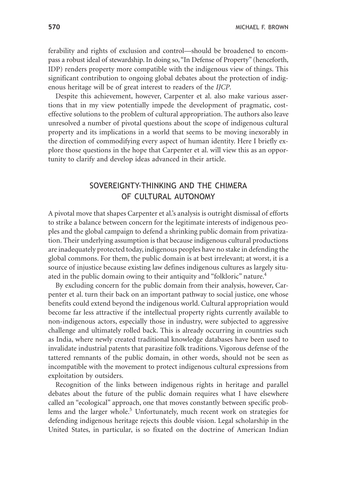ferability and rights of exclusion and control—should be broadened to encompass a robust ideal of stewardship. In doing so, "In Defense of Property" (henceforth, IDP) renders property more compatible with the indigenous view of things. This significant contribution to ongoing global debates about the protection of indigenous heritage will be of great interest to readers of the *IJCP*.

Despite this achievement, however, Carpenter et al. also make various assertions that in my view potentially impede the development of pragmatic, costeffective solutions to the problem of cultural appropriation. The authors also leave unresolved a number of pivotal questions about the scope of indigenous cultural property and its implications in a world that seems to be moving inexorably in the direction of commodifying every aspect of human identity. Here I briefly explore those questions in the hope that Carpenter et al. will view this as an opportunity to clarify and develop ideas advanced in their article.

## SOVEREIGNTY-THINKING AND THE CHIMERA OF CULTURAL AUTONOMY

A pivotal move that shapes Carpenter et al.'s analysis is outright dismissal of efforts to strike a balance between concern for the legitimate interests of indigenous peoples and the global campaign to defend a shrinking public domain from privatization. Their underlying assumption is that because indigenous cultural productions are inadequately protected today, indigenous peoples have no stake in defending the global commons. For them, the public domain is at best irrelevant; at worst, it is a source of injustice because existing law defines indigenous cultures as largely situated in the public domain owing to their antiquity and "folkloric" nature.<sup>4</sup>

By excluding concern for the public domain from their analysis, however, Carpenter et al. turn their back on an important pathway to social justice, one whose benefits could extend beyond the indigenous world. Cultural appropriation would become far less attractive if the intellectual property rights currently available to non-indigenous actors, especially those in industry, were subjected to aggressive challenge and ultimately rolled back. This is already occurring in countries such as India, where newly created traditional knowledge databases have been used to invalidate industrial patents that parasitize folk traditions. Vigorous defense of the tattered remnants of the public domain, in other words, should not be seen as incompatible with the movement to protect indigenous cultural expressions from exploitation by outsiders.

Recognition of the links between indigenous rights in heritage and parallel debates about the future of the public domain requires what I have elsewhere called an "ecological" approach, one that moves constantly between specific problems and the larger whole.<sup>5</sup> Unfortunately, much recent work on strategies for defending indigenous heritage rejects this double vision. Legal scholarship in the United States, in particular, is so fixated on the doctrine of American Indian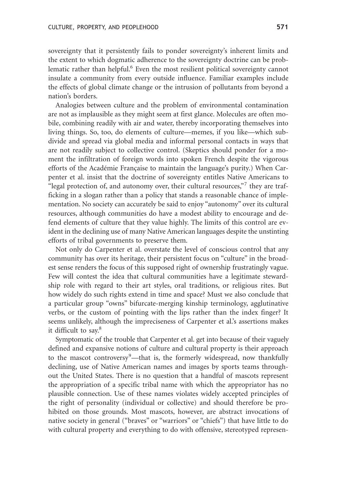sovereignty that it persistently fails to ponder sovereignty's inherent limits and the extent to which dogmatic adherence to the sovereignty doctrine can be problematic rather than helpful.<sup>6</sup> Even the most resilient political sovereignty cannot insulate a community from every outside influence. Familiar examples include the effects of global climate change or the intrusion of pollutants from beyond a nation's borders.

Analogies between culture and the problem of environmental contamination are not as implausible as they might seem at first glance. Molecules are often mobile, combining readily with air and water, thereby incorporating themselves into living things. So, too, do elements of culture—memes, if you like—which subdivide and spread via global media and informal personal contacts in ways that are not readily subject to collective control. (Skeptics should ponder for a moment the infiltration of foreign words into spoken French despite the vigorous efforts of the Académie Française to maintain the language's purity.) When Carpenter et al. insist that the doctrine of sovereignty entitles Native Americans to "legal protection of, and autonomy over, their cultural resources,"7 they are trafficking in a slogan rather than a policy that stands a reasonable chance of implementation. No society can accurately be said to enjoy "autonomy" over its cultural resources, although communities do have a modest ability to encourage and defend elements of culture that they value highly. The limits of this control are evident in the declining use of many Native American languages despite the unstinting efforts of tribal governments to preserve them.

Not only do Carpenter et al. overstate the level of conscious control that any community has over its heritage, their persistent focus on "culture" in the broadest sense renders the focus of this supposed right of ownership frustratingly vague. Few will contest the idea that cultural communities have a legitimate stewardship role with regard to their art styles, oral traditions, or religious rites. But how widely do such rights extend in time and space? Must we also conclude that a particular group "owns" bifurcate-merging kinship terminology, agglutinative verbs, or the custom of pointing with the lips rather than the index finger? It seems unlikely, although the impreciseness of Carpenter et al.'s assertions makes it difficult to say.<sup>8</sup>

Symptomatic of the trouble that Carpenter et al. get into because of their vaguely defined and expansive notions of culture and cultural property is their approach to the mascot controversy<sup>9</sup>—that is, the formerly widespread, now thankfully declining, use of Native American names and images by sports teams throughout the United States. There is no question that a handful of mascots represent the appropriation of a specific tribal name with which the appropriator has no plausible connection. Use of these names violates widely accepted principles of the right of personality (individual or collective) and should therefore be prohibited on those grounds. Most mascots, however, are abstract invocations of native society in general ("braves" or "warriors" or "chiefs") that have little to do with cultural property and everything to do with offensive, stereotyped represen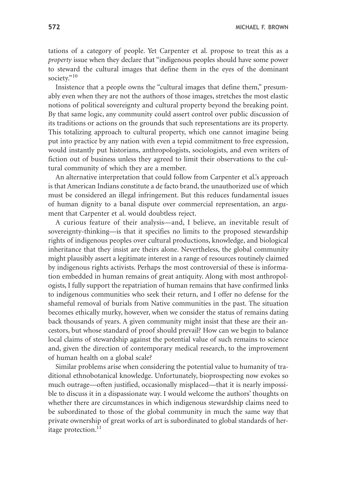tations of a category of people. Yet Carpenter et al. propose to treat this as a *property* issue when they declare that "indigenous peoples should have some power to steward the cultural images that define them in the eyes of the dominant society."<sup>10</sup>

Insistence that a people owns the "cultural images that define them," presumably even when they are not the authors of those images, stretches the most elastic notions of political sovereignty and cultural property beyond the breaking point. By that same logic, any community could assert control over public discussion of its traditions or actions on the grounds that such representations are its property. This totalizing approach to cultural property, which one cannot imagine being put into practice by any nation with even a tepid commitment to free expression, would instantly put historians, anthropologists, sociologists, and even writers of fiction out of business unless they agreed to limit their observations to the cultural community of which they are a member.

An alternative interpretation that could follow from Carpenter et al.'s approach is that American Indians constitute a de facto brand, the unauthorized use of which must be considered an illegal infringement. But this reduces fundamental issues of human dignity to a banal dispute over commercial representation, an argument that Carpenter et al. would doubtless reject.

A curious feature of their analysis—and, I believe, an inevitable result of sovereignty-thinking—is that it specifies no limits to the proposed stewardship rights of indigenous peoples over cultural productions, knowledge, and biological inheritance that they insist are theirs alone. Nevertheless, the global community might plausibly assert a legitimate interest in a range of resources routinely claimed by indigenous rights activists. Perhaps the most controversial of these is information embedded in human remains of great antiquity. Along with most anthropologists, I fully support the repatriation of human remains that have confirmed links to indigenous communities who seek their return, and I offer no defense for the shameful removal of burials from Native communities in the past. The situation becomes ethically murky, however, when we consider the status of remains dating back thousands of years. A given community might insist that these are their ancestors, but whose standard of proof should prevail? How can we begin to balance local claims of stewardship against the potential value of such remains to science and, given the direction of contemporary medical research, to the improvement of human health on a global scale?

Similar problems arise when considering the potential value to humanity of traditional ethnobotanical knowledge. Unfortunately, bioprospecting now evokes so much outrage—often justified, occasionally misplaced—that it is nearly impossible to discuss it in a dispassionate way. I would welcome the authors' thoughts on whether there are circumstances in which indigenous stewardship claims need to be subordinated to those of the global community in much the same way that private ownership of great works of art is subordinated to global standards of heritage protection.<sup>11</sup>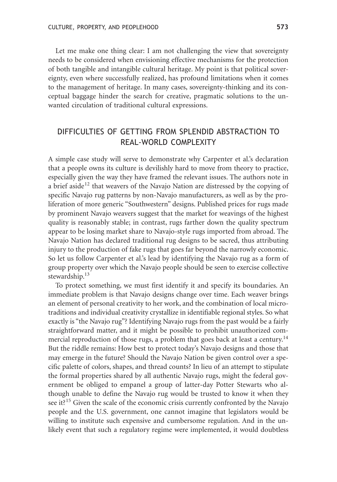Let me make one thing clear: I am not challenging the view that sovereignty needs to be considered when envisioning effective mechanisms for the protection of both tangible and intangible cultural heritage. My point is that political sovereignty, even where successfully realized, has profound limitations when it comes to the management of heritage. In many cases, sovereignty-thinking and its conceptual baggage hinder the search for creative, pragmatic solutions to the unwanted circulation of traditional cultural expressions.

## DIFFICULTIES OF GETTING FROM SPLENDID ABSTRACTION TO REAL-WORLD COMPLEXITY

A simple case study will serve to demonstrate why Carpenter et al.'s declaration that a people owns its culture is devilishly hard to move from theory to practice, especially given the way they have framed the relevant issues. The authors note in a brief aside<sup>12</sup> that weavers of the Navajo Nation are distressed by the copying of specific Navajo rug patterns by non-Navajo manufacturers, as well as by the proliferation of more generic "Southwestern" designs. Published prices for rugs made by prominent Navajo weavers suggest that the market for weavings of the highest quality is reasonably stable; in contrast, rugs farther down the quality spectrum appear to be losing market share to Navajo-style rugs imported from abroad. The Navajo Nation has declared traditional rug designs to be sacred, thus attributing injury to the production of fake rugs that goes far beyond the narrowly economic. So let us follow Carpenter et al.'s lead by identifying the Navajo rug as a form of group property over which the Navajo people should be seen to exercise collective stewardship.<sup>13</sup>

To protect something, we must first identify it and specify its boundaries. An immediate problem is that Navajo designs change over time. Each weaver brings an element of personal creativity to her work, and the combination of local microtraditions and individual creativity crystallize in identifiable regional styles. So what exactly is "the Navajo rug"? Identifying Navajo rugs from the past would be a fairly straightforward matter, and it might be possible to prohibit unauthorized commercial reproduction of those rugs, a problem that goes back at least a century.<sup>14</sup> But the riddle remains: How best to protect today's Navajo designs and those that may emerge in the future? Should the Navajo Nation be given control over a specific palette of colors, shapes, and thread counts? In lieu of an attempt to stipulate the formal properties shared by all authentic Navajo rugs, might the federal government be obliged to empanel a group of latter-day Potter Stewarts who although unable to define the Navajo rug would be trusted to know it when they see it?<sup>15</sup> Given the scale of the economic crisis currently confronted by the Navajo people and the U.S. government, one cannot imagine that legislators would be willing to institute such expensive and cumbersome regulation. And in the unlikely event that such a regulatory regime were implemented, it would doubtless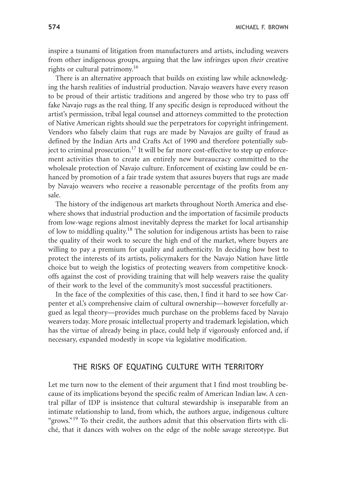inspire a tsunami of litigation from manufacturers and artists, including weavers from other indigenous groups, arguing that the law infringes upon *their* creative rights or cultural patrimony.<sup>16</sup>

There is an alternative approach that builds on existing law while acknowledging the harsh realities of industrial production. Navajo weavers have every reason to be proud of their artistic traditions and angered by those who try to pass off fake Navajo rugs as the real thing. If any specific design is reproduced without the artist's permission, tribal legal counsel and attorneys committed to the protection of Native American rights should sue the perpetrators for copyright infringement. Vendors who falsely claim that rugs are made by Navajos are guilty of fraud as defined by the Indian Arts and Crafts Act of 1990 and therefore potentially subject to criminal prosecution.<sup>17</sup> It will be far more cost-effective to step up enforcement activities than to create an entirely new bureaucracy committed to the wholesale protection of Navajo culture. Enforcement of existing law could be enhanced by promotion of a fair trade system that assures buyers that rugs are made by Navajo weavers who receive a reasonable percentage of the profits from any sale.

The history of the indigenous art markets throughout North America and elsewhere shows that industrial production and the importation of facsimile products from low-wage regions almost inevitably depress the market for local artisanship of low to middling quality.<sup>18</sup> The solution for indigenous artists has been to raise the quality of their work to secure the high end of the market, where buyers are willing to pay a premium for quality and authenticity. In deciding how best to protect the interests of its artists, policymakers for the Navajo Nation have little choice but to weigh the logistics of protecting weavers from competitive knockoffs against the cost of providing training that will help weavers raise the quality of their work to the level of the community's most successful practitioners.

In the face of the complexities of this case, then, I find it hard to see how Carpenter et al.'s comprehensive claim of cultural ownership—however forcefully argued as legal theory—provides much purchase on the problems faced by Navajo weavers today. More prosaic intellectual property and trademark legislation, which has the virtue of already being in place, could help if vigorously enforced and, if necessary, expanded modestly in scope via legislative modification.

## THE RISKS OF EQUATING CULTURE WITH TERRITORY

Let me turn now to the element of their argument that I find most troubling because of its implications beyond the specific realm of American Indian law. A central pillar of IDP is insistence that cultural stewardship is inseparable from an intimate relationship to land, from which, the authors argue, indigenous culture "grows."<sup>19</sup> To their credit, the authors admit that this observation flirts with cliché, that it dances with wolves on the edge of the noble savage stereotype. But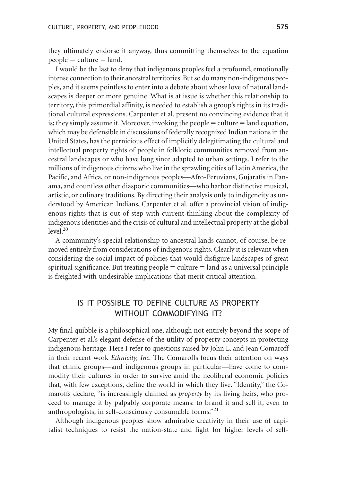they ultimately endorse it anyway, thus committing themselves to the equation  $people = culture = land.$ 

I would be the last to deny that indigenous peoples feel a profound, emotionally intense connection to their ancestral territories. But so do many non-indigenous peoples, and it seems pointless to enter into a debate about whose love of natural landscapes is deeper or more genuine. What is at issue is whether this relationship to territory, this primordial affinity, is needed to establish a group's rights in its traditional cultural expressions. Carpenter et al. present no convincing evidence that it is; they simply assume it. Moreover, invoking the people  $=$  culture  $=$  land equation, which may be defensible in discussions of federally recognized Indian nations in the United States, has the pernicious effect of implicitly delegitimating the cultural and intellectual property rights of people in folkloric communities removed from ancestral landscapes or who have long since adapted to urban settings. I refer to the millions of indigenous citizens who live in the sprawling cities of Latin America, the Pacific, and Africa, or non-indigenous peoples—Afro-Peruvians, Gujaratis in Panama, and countless other diasporic communities—who harbor distinctive musical, artistic, or culinary traditions. By directing their analysis only to indigeneity as understood by American Indians, Carpenter et al. offer a provincial vision of indigenous rights that is out of step with current thinking about the complexity of indigenous identities and the crisis of cultural and intellectual property at the global  $level<sup>20</sup>$ 

A community's special relationship to ancestral lands cannot, of course, be removed entirely from considerations of indigenous rights. Clearly it is relevant when considering the social impact of policies that would disfigure landscapes of great spiritual significance. But treating  $people = culture = land$  as a universal principle is freighted with undesirable implications that merit critical attention.

## IS IT POSSIBLE TO DEFINE CULTURE AS PROPERTY WITHOUT COMMODIFYING IT?

My final quibble is a philosophical one, although not entirely beyond the scope of Carpenter et al.'s elegant defense of the utility of property concepts in protecting indigenous heritage. Here I refer to questions raised by John L. and Jean Comaroff in their recent work *Ethnicity, Inc*. The Comaroffs focus their attention on ways that ethnic groups—and indigenous groups in particular—have come to commodify their cultures in order to survive amid the neoliberal economic policies that, with few exceptions, define the world in which they live. "Identity," the Comaroffs declare, "is increasingly claimed as *property* by its living heirs, who proceed to manage it by palpably corporate means: to brand it and sell it, even to anthropologists, in self-consciously consumable forms."<sup>21</sup>

Although indigenous peoples show admirable creativity in their use of capitalist techniques to resist the nation-state and fight for higher levels of self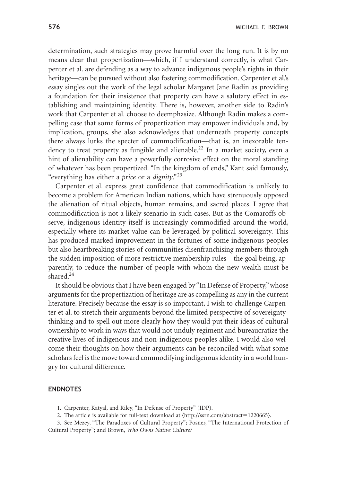determination, such strategies may prove harmful over the long run. It is by no means clear that propertization—which, if I understand correctly, is what Carpenter et al. are defending as a way to advance indigenous people's rights in their heritage—can be pursued without also fostering commodification. Carpenter et al.'s essay singles out the work of the legal scholar Margaret Jane Radin as providing a foundation for their insistence that property can have a salutary effect in establishing and maintaining identity. There is, however, another side to Radin's work that Carpenter et al. choose to deemphasize. Although Radin makes a compelling case that some forms of propertization may empower individuals and, by implication, groups, she also acknowledges that underneath property concepts there always lurks the specter of commodification—that is, an inexorable tendency to treat property as fungible and alienable.<sup>22</sup> In a market society, even a hint of alienability can have a powerfully corrosive effect on the moral standing of whatever has been propertized. "In the kingdom of ends," Kant said famously, "everything has either a *price* or a *dignity*."<sup>23</sup>

Carpenter et al. express great confidence that commodification is unlikely to become a problem for American Indian nations, which have strenuously opposed the alienation of ritual objects, human remains, and sacred places. I agree that commodification is not a likely scenario in such cases. But as the Comaroffs observe, indigenous identity itself is increasingly commodified around the world, especially where its market value can be leveraged by political sovereignty. This has produced marked improvement in the fortunes of some indigenous peoples but also heartbreaking stories of communities disenfranchising members through the sudden imposition of more restrictive membership rules—the goal being, apparently, to reduce the number of people with whom the new wealth must be shared.<sup>24</sup>

It should be obvious that I have been engaged by "In Defense of Property,"whose arguments for the propertization of heritage are as compelling as any in the current literature. Precisely because the essay is so important, I wish to challenge Carpenter et al. to stretch their arguments beyond the limited perspective of sovereigntythinking and to spell out more clearly how they would put their ideas of cultural ownership to work in ways that would not unduly regiment and bureaucratize the creative lives of indigenous and non-indigenous peoples alike. I would also welcome their thoughts on how their arguments can be reconciled with what some scholars feel is the move toward commodifying indigenous identity in a world hungry for cultural difference.

#### **ENDNOTES**

1. Carpenter, Katyal, and Riley, "In Defense of Property" (IDP).

- 2. The article is available for full-text download at  $\langle \frac{http://ssrn.com/abstract=1220665}$ .
- 3. See Mezey, "The Paradoxes of Cultural Property"; Posner, "The International Protection of Cultural Property"; and Brown, *Who Owns Native Culture?*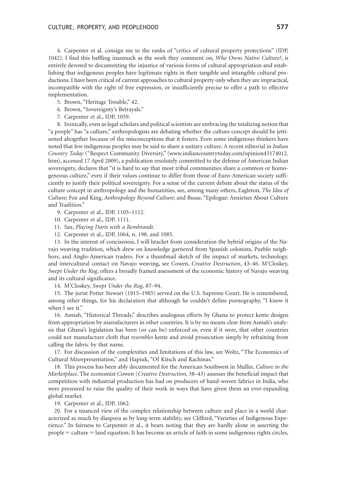4. Carpenter et al. consign me to the ranks of "critics of cultural property protections" (IDP, 1042). I find this baffling inasmuch as the work they comment on, *Who Owns Native Culture?*, is entirely devoted to documenting the injustice of various forms of cultural appropriation and establishing that indigenous peoples have legitimate rights in their tangible and intangible cultural productions. I have been critical of current approaches to cultural property only when they are impractical, incompatible with the right of free expression, or insufficiently precise to offer a path to effective implementation.

- 5. Brown, "Heritage Trouble," 42.
- 6. Brown, "Sovereignty's Betrayals."
- 7. Carpenter et al., IDP, 1059.

8. Ironically, even as legal scholars and political scientists are embracing the totalizing notion that "a people" has "a culture," anthropologists are debating whether the culture concept should be jettisoned altogether because of the misconceptions that it fosters. Even some indigenous thinkers have noted that few indigenous peoples may be said to share a unitary culture. A recent editorial in *Indian Country Today* ("Respect Community Diversity," (www.indiancountrytoday.com/opinion43174012. htm), accessed 17 April 2009), a publication resolutely committed to the defense of American Indian sovereignty, declares that "it is hard to say that most tribal communities share a common or homogeneous culture," even if their values continue to differ from those of Euro-American society sufficiently to justify their political sovereignty. For a sense of the current debate about the status of the culture concept in anthropology and the humanities, see, among many others, Eagleton, *The Idea of Culture*; Fox and King, *Anthropology Beyond Culture*; and Busse, "Epilogue: Anxieties About Culture and Tradition."

- 9. Carpenter et al., IDP, 1105–1112.
- 10. Carpenter et al., IDP, 1111.
- 11. Sax, *Playing Darts with a Rembrandt*.
- 12. Carpenter et al., IDP, 1064, n. 198, and 1085.

13. In the interest of conciseness, I will bracket from consideration the hybrid origins of the Navajo weaving tradition, which drew on knowledge garnered from Spanish colonists, Pueblo neighbors, and Anglo-American traders. For a thumbnail sketch of the impact of markets, technology, and intercultural contact on Navajo weaving, see Cowen, *Creative Destruction*, 43–46. M'Closkey, *Swept Under the Rug*, offers a broadly framed assessment of the economic history of Navajo weaving and its cultural significance.

14. M'Closkey, *Swept Under the Rug*, 87–94.

15. The jurist Potter Stewart (1915–1985) served on the U.S. Supreme Court. He is remembered, among other things, for his declaration that although he couldn't define pornography, "I know it when I see it."

16. Asmah, "Historical Threads," describes analogous efforts by Ghana to protect kente designs from appropriation by manufacturers in other countries. It is by no means clear from Asmah's analysis that Ghana's legislation has been (or can be) enforced or, even if it were, that other countries could not manufacture cloth that *resembles* kente and avoid prosecution simply by refraining from calling the fabric by that name.

17. For discussion of the complexities and limitations of this law, see Woltz, "The Economics of Cultural Misrepresentation," and Hapiuk, "Of Kitsch and Kachinas."

18. This process has been ably documented for the American Southwest in Mullin, *Culture in the Marketplace*. The economist Cowen (*Creative Destruction*, 38–43) assesses the beneficial impact that competition with industrial production has had on producers of hand-woven fabrics in India, who were pressured to raise the quality of their work in ways that have given them an ever-expanding global market.

19. Carpenter et al., IDP, 1062.

20. For a nuanced view of the complex relationship between culture and place in a world characterized as much by diaspora as by long-term stability, see Clifford, "Varieties of Indigenous Experience." In fairness to Carpenter et al., it bears noting that they are hardly alone in asserting the  $people = culture = land equation.$  It has become an article of faith in some indigenous rights circles,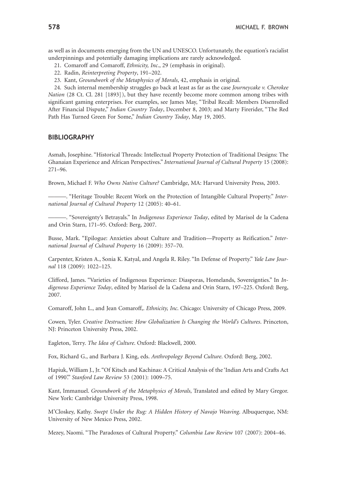as well as in documents emerging from the UN and UNESCO. Unfortunately, the equation's racialist underpinnings and potentially damaging implications are rarely acknowledged.

- 21. Comaroff and Comaroff, *Ethnicity, Inc*., 29 (emphasis in original).
- 22. Radin, *Reinterpreting Property*, 191–202.
- 23. Kant, *Groundwork of the Metaphysics of Morals*, 42, emphasis in original.

24. Such internal membership struggles go back at least as far as the case *Journeycake v. Cherokee Nation* (28 Ct. Cl. 281 [1893]), but they have recently become more common among tribes with significant gaming enterprises. For examples, see James May, "Tribal Recall: Members Disenrolled After Financial Dispute," *Indian Country Today*, December 8, 2003; and Marty Firerider, "The Red Path Has Turned Green For Some," *Indian Country Today*, May 19, 2005.

#### **BIBLIOGRAPHY**

Asmah, Josephine. "Historical Threads: Intellectual Property Protection of Traditional Designs: The Ghanaian Experience and African Perspectives." *International Journal of Cultural Property* 15 (2008): 271–96.

Brown, Michael F. *Who Owns Native Culture?* Cambridge, MA: Harvard University Press, 2003.

———. "Heritage Trouble: Recent Work on the Protection of Intangible Cultural Property." *International Journal of Cultural Property* 12 (2005): 40–61.

———. "Sovereignty's Betrayals." In *Indigenous Experience Today*, edited by Marisol de la Cadena and Orin Starn, 171–95. Oxford: Berg, 2007.

Busse, Mark. "Epilogue: Anxieties about Culture and Tradition—Property as Reification." *International Journal of Cultural Property* 16 (2009): 357–70.

Carpenter, Kristen A., Sonia K. Katyal, and Angela R. Riley. "In Defense of Property." *Yale Law Journal* 118 (2009): 1022–125.

Clifford, James. "Varieties of Indigenous Experience: Diasporas, Homelands, Sovereignties." In *Indigenous Experience Today*, edited by Marisol de la Cadena and Orin Starn, 197–225. Oxford: Berg, 2007.

Comaroff, John L., and Jean Comaroff,. *Ethnicity, Inc*. Chicago: University of Chicago Press, 2009.

Cowen, Tyler. *Creative Destruction: How Globalization Is Changing the World's Cultures*. Princeton, NJ: Princeton University Press, 2002.

Eagleton, Terry. *The Idea of Culture*. Oxford: Blackwell, 2000.

Fox, Richard G., and Barbara J. King, eds. *Anthropology Beyond Culture*. Oxford: Berg, 2002.

Hapiuk, William J., Jr. "Of Kitsch and Kachinas: A Critical Analysis of the 'Indian Arts and Crafts Act of 1990'." *Stanford Law Review* 53 (2001): 1009–75.

Kant, Immanuel. *Groundwork of the Metaphysics of Morals*, Translated and edited by Mary Gregor. New York: Cambridge University Press, 1998.

M'Closkey, Kathy. *Swept Under the Rug: A Hidden History of Navajo Weaving*. Albuquerque, NM: University of New Mexico Press, 2002.

Mezey, Naomi. "The Paradoxes of Cultural Property." *Columbia Law Review* 107 (2007): 2004–46.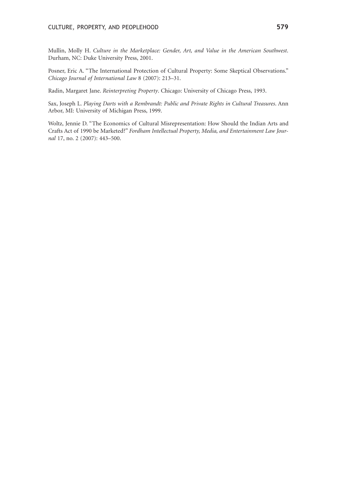Mullin, Molly H. *Culture in the Marketplace: Gender, Art, and Value in the American Southwest*. Durham, NC: Duke University Press, 2001.

Posner, Eric A. "The International Protection of Cultural Property: Some Skeptical Observations." *Chicago Journal of International Law* 8 (2007): 213–31.

Radin, Margaret Jane. *Reinterpreting Property*. Chicago: University of Chicago Press, 1993.

Sax, Joseph L. *Playing Darts with a Rembrandt: Public and Private Rights in Cultural Treasures*. Ann Arbor, MI: University of Michigan Press, 1999.

Woltz, Jennie D. "The Economics of Cultural Misrepresentation: How Should the Indian Arts and Crafts Act of 1990 be Marketed?" *Fordham Intellectual Property, Media, and Entertainment Law Journal* 17, no. 2 (2007): 443–500.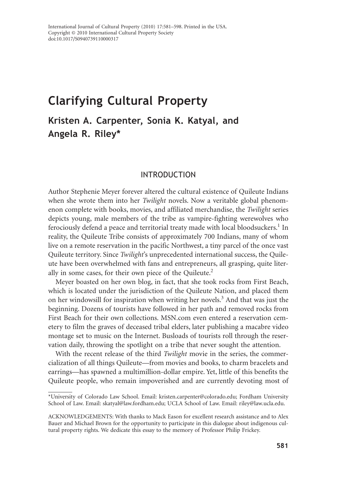# **Clarifying Cultural Property**

# **Kristen A. Carpenter, Sonia K. Katyal, and Angela R. Riley\***

## INTRODUCTION

Author Stephenie Meyer forever altered the cultural existence of Quileute Indians when she wrote them into her *Twilight* novels. Now a veritable global phenomenon complete with books, movies, and affiliated merchandise, the *Twilight* series depicts young, male members of the tribe as vampire-fighting werewolves who ferociously defend a peace and territorial treaty made with local bloodsuckers.<sup>1</sup> In reality, the Quileute Tribe consists of approximately 700 Indians, many of whom live on a remote reservation in the pacific Northwest, a tiny parcel of the once vast Quileute territory. Since *Twilight*'s unprecedented international success, the Quileute have been overwhelmed with fans and entrepreneurs, all grasping, quite literally in some cases, for their own piece of the Quileute.<sup>2</sup>

Meyer boasted on her own blog, in fact, that she took rocks from First Beach, which is located under the jurisdiction of the Quileute Nation, and placed them on her windowsill for inspiration when writing her novels.<sup>3</sup> And that was just the beginning. Dozens of tourists have followed in her path and removed rocks from First Beach for their own collections. MSN.com even entered a reservation cemetery to film the graves of deceased tribal elders, later publishing a macabre video montage set to music on the Internet. Busloads of tourists roll through the reservation daily, throwing the spotlight on a tribe that never sought the attention.

With the recent release of the third *Twilight* movie in the series, the commercialization of all things Quileute—from movies and books, to charm bracelets and earrings—has spawned a multimillion-dollar empire. Yet, little of this benefits the Quileute people, who remain impoverished and are currently devoting most of

<sup>\*</sup>University of Colorado Law School. Email: kristen.carpenter@colorado.edu; Fordham University School of Law. Email: skatyal@law.fordham.edu; UCLA School of Law. Email: riley@law.ucla.edu.

ACKNOWLEDGEMENTS: With thanks to Mack Eason for excellent research assistance and to Alex Bauer and Michael Brown for the opportunity to participate in this dialogue about indigenous cultural property rights. We dedicate this essay to the memory of Professor Philip Frickey.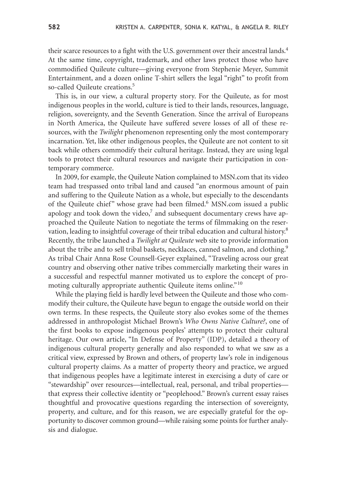their scarce resources to a fight with the U.S. government over their ancestral lands.<sup>4</sup> At the same time, copyright, trademark, and other laws protect those who have commodified Quileute culture—giving everyone from Stephenie Meyer, Summit Entertainment, and a dozen online T-shirt sellers the legal "right" to profit from so-called Quileute creations.<sup>5</sup>

This is, in our view, a cultural property story. For the Quileute, as for most indigenous peoples in the world, culture is tied to their lands, resources, language, religion, sovereignty, and the Seventh Generation. Since the arrival of Europeans in North America, the Quileute have suffered severe losses of all of these resources, with the *Twilight* phenomenon representing only the most contemporary incarnation. Yet, like other indigenous peoples, the Quileute are not content to sit back while others commodify their cultural heritage. Instead, they are using legal tools to protect their cultural resources and navigate their participation in contemporary commerce.

In 2009, for example, the Quileute Nation complained to MSN.com that its video team had trespassed onto tribal land and caused "an enormous amount of pain and suffering to the Quileute Nation as a whole, but especially to the descendants of the Quileute chief" whose grave had been filmed.<sup>6</sup> MSN.com issued a public apology and took down the video, $7$  and subsequent documentary crews have approached the Quileute Nation to negotiate the terms of filmmaking on the reservation, leading to insightful coverage of their tribal education and cultural history.<sup>8</sup> Recently, the tribe launched a *Twilight at Quileute* web site to provide information about the tribe and to sell tribal baskets, necklaces, canned salmon, and clothing.<sup>9</sup> As tribal Chair Anna Rose Counsell-Geyer explained, "Traveling across our great country and observing other native tribes commercially marketing their wares in a successful and respectful manner motivated us to explore the concept of promoting culturally appropriate authentic Quileute items online."<sup>10</sup>

While the playing field is hardly level between the Quileute and those who commodify their culture, the Quileute have begun to engage the outside world on their own terms. In these respects, the Quileute story also evokes some of the themes addressed in anthropologist Michael Brown's *Who Owns Native Culture?*, one of the first books to expose indigenous peoples' attempts to protect their cultural heritage. Our own article, "In Defense of Property" (IDP), detailed a theory of indigenous cultural property generally and also responded to what we saw as a critical view, expressed by Brown and others, of property law's role in indigenous cultural property claims. As a matter of property theory and practice, we argued that indigenous peoples have a legitimate interest in exercising a duty of care or "stewardship" over resources—intellectual, real, personal, and tribal properties that express their collective identity or "peoplehood." Brown's current essay raises thoughtful and provocative questions regarding the intersection of sovereignty, property, and culture, and for this reason, we are especially grateful for the opportunity to discover common ground—while raising some points for further analysis and dialogue.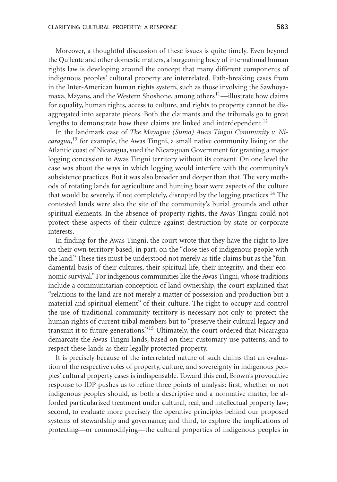Moreover, a thoughtful discussion of these issues is quite timely. Even beyond the Quileute and other domestic matters, a burgeoning body of international human rights law is developing around the concept that many different components of indigenous peoples' cultural property are interrelated. Path-breaking cases from in the Inter-American human rights system, such as those involving the Sawhoyamaxa, Mayans, and the Western Shoshone, among others $11$ —illustrate how claims for equality, human rights, access to culture, and rights to property cannot be disaggregated into separate pieces. Both the claimants and the tribunals go to great lengths to demonstrate how these claims are linked and interdependent.<sup>12</sup>

In the landmark case of *The Mayagna (Sumo) Awas Tingni Community v. Nicaragua*, <sup>13</sup> for example, the Awas Tingni, a small native community living on the Atlantic coast of Nicaragua, sued the Nicaraguan Government for granting a major logging concession to Awas Tingni territory without its consent. On one level the case was about the ways in which logging would interfere with the community's subsistence practices. But it was also broader and deeper than that. The very methods of rotating lands for agriculture and hunting boar were aspects of the culture that would be severely, if not completely, disrupted by the logging practices.<sup>14</sup> The contested lands were also the site of the community's burial grounds and other spiritual elements. In the absence of property rights, the Awas Tingni could not protect these aspects of their culture against destruction by state or corporate interests.

In finding for the Awas Tingni, the court wrote that they have the right to live on their own territory based, in part, on the "close ties of indigenous people with the land." These ties must be understood not merely as title claims but as the "fundamental basis of their cultures, their spiritual life, their integrity, and their economic survival." For indigenous communities like the Awas Tingni, whose traditions include a communitarian conception of land ownership, the court explained that "relations to the land are not merely a matter of possession and production but a material and spiritual element" of their culture. The right to occupy and control the use of traditional community territory is necessary not only to protect the human rights of current tribal members but to "preserve their cultural legacy and transmit it to future generations."<sup>15</sup> Ultimately, the court ordered that Nicaragua demarcate the Awas Tingni lands, based on their customary use patterns, and to respect these lands as their legally protected property.

It is precisely because of the interrelated nature of such claims that an evaluation of the respective roles of property, culture, and sovereignty in indigenous peoples' cultural property cases is indispensable. Toward this end, Brown's provocative response to IDP pushes us to refine three points of analysis: first, whether or not indigenous peoples should, as both a descriptive and a normative matter, be afforded particularized treatment under cultural, real, and intellectual property law; second, to evaluate more precisely the operative principles behind our proposed systems of stewardship and governance; and third, to explore the implications of protecting—or commodifying—the cultural properties of indigenous peoples in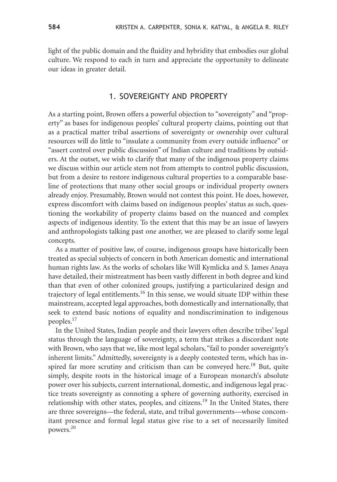light of the public domain and the fluidity and hybridity that embodies our global culture. We respond to each in turn and appreciate the opportunity to delineate our ideas in greater detail.

### 1. SOVEREIGNTY AND PROPERTY

As a starting point, Brown offers a powerful objection to "sovereignty" and "property" as bases for indigenous peoples' cultural property claims, pointing out that as a practical matter tribal assertions of sovereignty or ownership over cultural resources will do little to "insulate a community from every outside influence" or "assert control over public discussion" of Indian culture and traditions by outsiders. At the outset, we wish to clarify that many of the indigenous property claims we discuss within our article stem not from attempts to control public discussion, but from a desire to restore indigenous cultural properties to a comparable baseline of protections that many other social groups or individual property owners already enjoy. Presumably, Brown would not contest this point. He does, however, express discomfort with claims based on indigenous peoples' status as such, questioning the workability of property claims based on the nuanced and complex aspects of indigenous identity. To the extent that this may be an issue of lawyers and anthropologists talking past one another, we are pleased to clarify some legal concepts.

As a matter of positive law, of course, indigenous groups have historically been treated as special subjects of concern in both American domestic and international human rights law. As the works of scholars like Will Kymlicka and S. James Anaya have detailed, their mistreatment has been vastly different in both degree and kind than that even of other colonized groups, justifying a particularized design and trajectory of legal entitlements.<sup>16</sup> In this sense, we would situate IDP within these mainstream, accepted legal approaches, both domestically and internationally, that seek to extend basic notions of equality and nondiscrimination to indigenous peoples.17

In the United States, Indian people and their lawyers often describe tribes' legal status through the language of sovereignty, a term that strikes a discordant note with Brown, who says that we, like most legal scholars, "fail to ponder sovereignty's inherent limits." Admittedly, sovereignty is a deeply contested term, which has inspired far more scrutiny and criticism than can be conveyed here.<sup>18</sup> But, quite simply, despite roots in the historical image of a European monarch's absolute power over his subjects, current international, domestic, and indigenous legal practice treats sovereignty as connoting a sphere of governing authority, exercised in relationship with other states, peoples, and citizens.<sup>19</sup> In the United States, there are three sovereigns—the federal, state, and tribal governments—whose concomitant presence and formal legal status give rise to a set of necessarily limited powers.20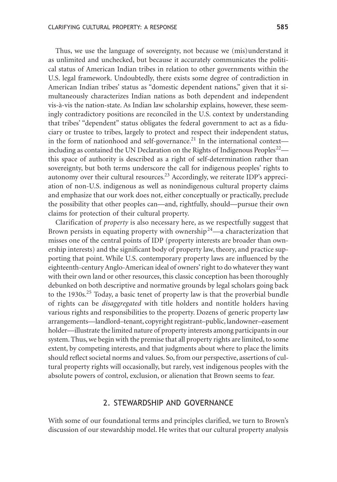Thus, we use the language of sovereignty, not because we (mis)understand it as unlimited and unchecked, but because it accurately communicates the political status of American Indian tribes in relation to other governments within the U.S. legal framework. Undoubtedly, there exists some degree of contradiction in American Indian tribes' status as "domestic dependent nations," given that it simultaneously characterizes Indian nations as both dependent and independent vis-à-vis the nation-state. As Indian law scholarship explains, however, these seemingly contradictory positions are reconciled in the U.S. context by understanding that tribes' "dependent" status obligates the federal government to act as a fiduciary or trustee to tribes, largely to protect and respect their independent status, in the form of nationhood and self-governance.<sup>21</sup> In the international context including as contained the UN Declaration on the Rights of Indigenous Peoples<sup>22</sup> this space of authority is described as a right of self-determination rather than sovereignty, but both terms underscore the call for indigenous peoples' rights to autonomy over their cultural resources.<sup>23</sup> Accordingly, we reiterate IDP's appreciation of non-U.S. indigenous as well as nonindigenous cultural property claims and emphasize that our work does not, either conceptually or practically, preclude the possibility that other peoples can—and, rightfully, should—pursue their own claims for protection of their cultural property.

Clarification of *property* is also necessary here, as we respectfully suggest that Brown persists in equating property with ownership<sup>24</sup>—a characterization that misses one of the central points of IDP (property interests are broader than ownership interests) and the significant body of property law, theory, and practice supporting that point. While U.S. contemporary property laws are influenced by the eighteenth-century Anglo-American ideal of owners' right to do whatever they want with their own land or other resources, this classic conception has been thoroughly debunked on both descriptive and normative grounds by legal scholars going back to the 1930s.<sup>25</sup> Today, a basic tenet of property law is that the proverbial bundle of rights can be *disaggregated* with title holders and nontitle holders having various rights and responsibilities to the property. Dozens of generic property law arrangements—landlord–tenant, copyright registrant–public, landowner–easement holder—illustrate the limited nature of property interests among participants in our system. Thus, we begin with the premise that all property rights are limited, to some extent, by competing interests, and that judgments about where to place the limits should reflect societal norms and values. So, from our perspective, assertions of cultural property rights will occasionally, but rarely, vest indigenous peoples with the absolute powers of control, exclusion, or alienation that Brown seems to fear.

### 2. STEWARDSHIP AND GOVERNANCE

With some of our foundational terms and principles clarified, we turn to Brown's discussion of our stewardship model. He writes that our cultural property analysis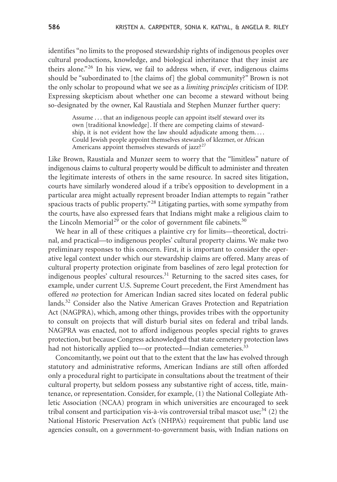identifies "no limits to the proposed stewardship rights of indigenous peoples over cultural productions, knowledge, and biological inheritance that they insist are theirs alone."<sup>26</sup> In his view, we fail to address when, if ever, indigenous claims should be "subordinated to [the claims of] the global community?" Brown is not the only scholar to propound what we see as a *limiting principles* criticism of IDP. Expressing skepticism about whether one can become a steward without being so-designated by the owner, Kal Raustiala and Stephen Munzer further query:

Assume . . . that an indigenous people can appoint itself steward over its own [traditional knowledge]. If there are competing claims of stewardship, it is not evident how the law should adjudicate among them.... Could Jewish people appoint themselves stewards of klezmer, or African Americans appoint themselves stewards of jazz?<sup>27</sup>

Like Brown, Raustiala and Munzer seem to worry that the "limitless" nature of indigenous claims to cultural property would be difficult to administer and threaten the legitimate interests of others in the same resource. In sacred sites litigation, courts have similarly wondered aloud if a tribe's opposition to development in a particular area might actually represent broader Indian attempts to regain "rather spacious tracts of public property.<sup>"28</sup> Litigating parties, with some sympathy from the courts, have also expressed fears that Indians might make a religious claim to the Lincoln Memorial<sup>29</sup> or the color of government file cabinets.<sup>30</sup>

We hear in all of these critiques a plaintive cry for limits—theoretical, doctrinal, and practical—to indigenous peoples' cultural property claims. We make two preliminary responses to this concern. First, it is important to consider the operative legal context under which our stewardship claims are offered. Many areas of cultural property protection originate from baselines of zero legal protection for indigenous peoples' cultural resources.<sup>31</sup> Returning to the sacred sites cases, for example, under current U.S. Supreme Court precedent, the First Amendment has offered *no* protection for American Indian sacred sites located on federal public lands.<sup>32</sup> Consider also the Native American Graves Protection and Repatriation Act (NAGPRA), which, among other things, provides tribes with the opportunity to consult on projects that will disturb burial sites on federal and tribal lands. NAGPRA was enacted, not to afford indigenous peoples special rights to graves protection, but because Congress acknowledged that state cemetery protection laws had not historically applied to—or protected—Indian cemeteries.<sup>33</sup>

Concomitantly, we point out that to the extent that the law has evolved through statutory and administrative reforms, American Indians are still often afforded only a procedural right to participate in consultations about the treatment of their cultural property, but seldom possess any substantive right of access, title, maintenance, or representation. Consider, for example, (1) the National Collegiate Athletic Association (NCAA) program in which universities are encouraged to seek tribal consent and participation vis-à-vis controversial tribal mascot use;<sup>34</sup> (2) the National Historic Preservation Act's (NHPA's) requirement that public land use agencies consult, on a government-to-government basis, with Indian nations on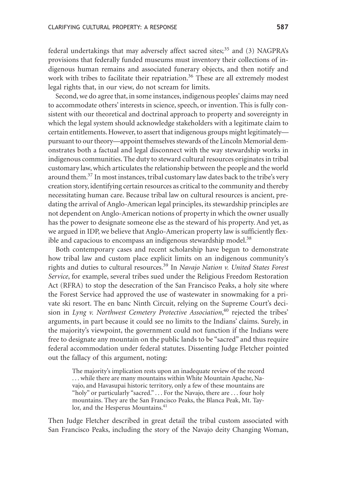federal undertakings that may adversely affect sacred sites;<sup>35</sup> and  $(3)$  NAGPRA's provisions that federally funded museums must inventory their collections of indigenous human remains and associated funerary objects, and then notify and work with tribes to facilitate their repatriation.<sup>36</sup> These are all extremely modest legal rights that, in our view, do not scream for limits.

Second, we do agree that, in some instances, indigenous peoples' claims may need to accommodate others' interests in science, speech, or invention. This is fully consistent with our theoretical and doctrinal approach to property and sovereignty in which the legal system should acknowledge stakeholders with a legitimate claim to certain entitlements. However, to assert that indigenous groups might legitimately pursuant to our theory—appoint themselves stewards of the Lincoln Memorial demonstrates both a factual and legal disconnect with the way stewardship works in indigenous communities. The duty to steward cultural resources originates in tribal customary law, which articulates the relationship between the people and the world around them.<sup>37</sup> In most instances, tribal customary law dates back to the tribe's very creation story, identifying certain resources as critical to the community and thereby necessitating human care. Because tribal law on cultural resources is ancient, predating the arrival of Anglo-American legal principles, its stewardship principles are not dependent on Anglo-American notions of property in which the owner usually has the power to designate someone else as the steward of his property. And yet, as we argued in IDP, we believe that Anglo-American property law is sufficiently flexible and capacious to encompass an indigenous stewardship model.<sup>38</sup>

Both contemporary cases and recent scholarship have begun to demonstrate how tribal law and custom place explicit limits on an indigenous community's rights and duties to cultural resources.39 In *Navajo Nation v. United States Forest Service*, for example, several tribes sued under the Religious Freedom Restoration Act (RFRA) to stop the desecration of the San Francisco Peaks, a holy site where the Forest Service had approved the use of wastewater in snowmaking for a private ski resort. The en banc Ninth Circuit, relying on the Supreme Court's decision in *Lyng v. Northwest Cemetery Protective Association*, <sup>40</sup> rejected the tribes' arguments, in part because it could see no limits to the Indians' claims. Surely, in the majority's viewpoint, the government could not function if the Indians were free to designate any mountain on the public lands to be "sacred" and thus require federal accommodation under federal statutes. Dissenting Judge Fletcher pointed out the fallacy of this argument, noting:

The majority's implication rests upon an inadequate review of the record . . . while there are many mountains within White Mountain Apache, Navajo, and Havasupai historic territory, only a few of these mountains are "holy" or particularly "sacred." . . . For the Navajo, there are . . . four holy mountains. They are the San Francisco Peaks, the Blanca Peak, Mt. Taylor, and the Hesperus Mountains.<sup>41</sup>

Then Judge Fletcher described in great detail the tribal custom associated with San Francisco Peaks, including the story of the Navajo deity Changing Woman,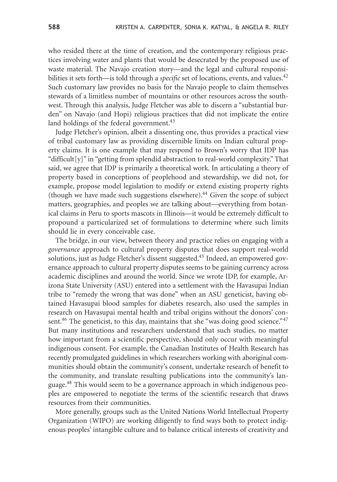who resided there at the time of creation, and the contemporary religious practices involving water and plants that would be desecrated by the proposed use of waste material. The Navajo creation story—and the legal and cultural responsibilities it sets forth—is told through a *specific* set of locations, events, and values.<sup>42</sup> Such customary law provides no basis for the Navajo people to claim themselves stewards of a limitless number of mountains or other resources across the southwest. Through this analysis, Judge Fletcher was able to discern a "substantial burden" on Navajo (and Hopi) religious practices that did not implicate the entire land holdings of the federal government. $43$ 

Judge Fletcher's opinion, albeit a dissenting one, thus provides a practical view of tribal customary law as providing discernible limits on Indian cultural property claims. It is one example that may respond to Brown's worry that IDP has "difficult[y]" in "getting from splendid abstraction to real-world complexity." That said, we agree that IDP is primarily a theoretical work. In articulating a theory of property based in conceptions of peoplehood and stewardship, we did not, for example, propose model legislation to modify or extend existing property rights (though we have made such suggestions elsewhere). $44$  Given the scope of subject matters, geographies, and peoples we are talking about—everything from botanical claims in Peru to sports mascots in Illinois—it would be extremely difficult to propound a particularized set of formulations to determine where such limits should lie in every conceivable case.

The bridge, in our view, between theory and practice relies on engaging with a *governance* approach to cultural property disputes that does support real-world solutions, just as Judge Fletcher's dissent suggested.<sup>45</sup> Indeed, an empowered governance approach to cultural property disputes seems to be gaining currency across academic disciplines and around the world. Since we wrote IDP, for example, Arizona State University (ASU) entered into a settlement with the Havasupai Indian tribe to "remedy the wrong that was done" when an ASU geneticist, having obtained Havasupai blood samples for diabetes research, also used the samples in research on Havasupai mental health and tribal origins without the donors' consent.<sup>46</sup> The geneticist, to this day, maintains that she "was doing good science."  $47$ But many institutions and researchers understand that such studies, no matter how important from a scientific perspective, should only occur with meaningful indigenous consent. For example, the Canadian Institutes of Health Research has recently promulgated guidelines in which researchers working with aboriginal communities should obtain the community's consent, undertake research of benefit to the community, and translate resulting publications into the community's language.48 This would seem to be a governance approach in which indigenous peoples are empowered to negotiate the terms of the scientific research that draws resources from their communities.

More generally, groups such as the United Nations World Intellectual Property Organization (WIPO) are working diligently to find ways both to protect indigenous peoples' intangible culture and to balance critical interests of creativity and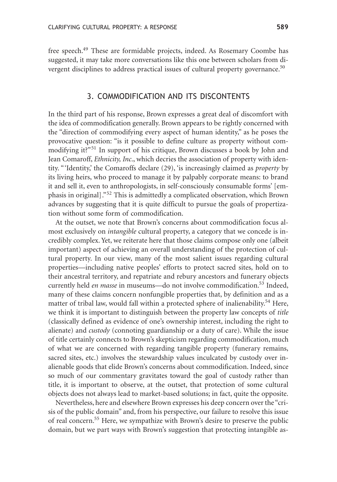free speech.<sup>49</sup> These are formidable projects, indeed. As Rosemary Coombe has suggested, it may take more conversations like this one between scholars from divergent disciplines to address practical issues of cultural property governance.<sup>50</sup>

### 3. COMMODIFICATION AND ITS DISCONTENTS

In the third part of his response, Brown expresses a great deal of discomfort with the idea of commodification generally. Brown appears to be rightly concerned with the "direction of commodifying every aspect of human identity," as he poses the provocative question: "is it possible to define culture as property without commodifying it?"<sup>51</sup> In support of his critique, Brown discusses a book by John and Jean Comaroff, *Ethnicity, Inc*., which decries the association of property with identity. "'Identity,' the Comaroffs declare (29), 'is increasingly claimed as *property* by its living heirs, who proceed to manage it by palpably corporate means: to brand it and sell it, even to anthropologists, in self-consciously consumable forms' [emphasis in original]."<sup>52</sup> This is admittedly a complicated observation, which Brown advances by suggesting that it is quite difficult to pursue the goals of propertization without some form of commodification.

At the outset, we note that Brown's concerns about commodification focus almost exclusively on *intangible* cultural property, a category that we concede is incredibly complex. Yet, we reiterate here that those claims compose only one (albeit important) aspect of achieving an overall understanding of the protection of cultural property. In our view, many of the most salient issues regarding cultural properties—including native peoples' efforts to protect sacred sites, hold on to their ancestral territory, and repatriate and rebury ancestors and funerary objects currently held *en masse* in museums—do not involve commodification.<sup>53</sup> Indeed, many of these claims concern nonfungible properties that, by definition and as a matter of tribal law, would fall within a protected sphere of inalienability.<sup>54</sup> Here, we think it is important to distinguish between the property law concepts of *title* (classically defined as evidence of one's ownership interest, including the right to alienate) and *custody* (connoting guardianship or a duty of care). While the issue of title certainly connects to Brown's skepticism regarding commodification, much of what we are concerned with regarding tangible property (funerary remains, sacred sites, etc.) involves the stewardship values inculcated by custody over inalienable goods that elide Brown's concerns about commodification. Indeed, since so much of our commentary gravitates toward the goal of custody rather than title, it is important to observe, at the outset, that protection of some cultural objects does not always lead to market-based solutions; in fact, quite the opposite.

Nevertheless, here and elsewhere Brown expresses his deep concern over the "crisis of the public domain" and, from his perspective, our failure to resolve this issue of real concern.55 Here, we sympathize with Brown's desire to preserve the public domain, but we part ways with Brown's suggestion that protecting intangible as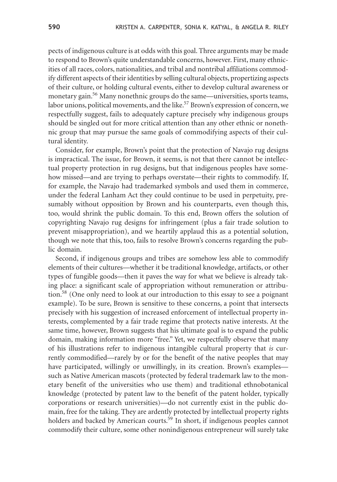pects of indigenous culture is at odds with this goal. Three arguments may be made to respond to Brown's quite understandable concerns, however. First, many ethnicities of all races, colors, nationalities, and tribal and nontribal affiliations commodify different aspects of their identities by selling cultural objects, propertizing aspects of their culture, or holding cultural events, either to develop cultural awareness or monetary gain.<sup>56</sup> Many nonethnic groups do the same—universities, sports teams, labor unions, political movements, and the like.<sup>57</sup> Brown's expression of concern, we respectfully suggest, fails to adequately capture precisely why indigenous groups should be singled out for more critical attention than any other ethnic or nonethnic group that may pursue the same goals of commodifying aspects of their cultural identity.

Consider, for example, Brown's point that the protection of Navajo rug designs is impractical. The issue, for Brown, it seems, is not that there cannot be intellectual property protection in rug designs, but that indigenous peoples have somehow missed—and are trying to perhaps overstate—their rights to commodify. If, for example, the Navajo had trademarked symbols and used them in commerce, under the federal Lanham Act they could continue to be used in perpetuity, presumably without opposition by Brown and his counterparts, even though this, too, would shrink the public domain. To this end, Brown offers the solution of copyrighting Navajo rug designs for infringement (plus a fair trade solution to prevent misappropriation), and we heartily applaud this as a potential solution, though we note that this, too, fails to resolve Brown's concerns regarding the public domain.

Second, if indigenous groups and tribes are somehow less able to commodify elements of their cultures—whether it be traditional knowledge, artifacts, or other types of fungible goods—then it paves the way for what we believe is already taking place: a significant scale of appropriation without remuneration or attribution.<sup>58</sup> (One only need to look at our introduction to this essay to see a poignant example). To be sure, Brown is sensitive to these concerns, a point that intersects precisely with his suggestion of increased enforcement of intellectual property interests, complemented by a fair trade regime that protects native interests. At the same time, however, Brown suggests that his ultimate goal is to expand the public domain, making information more "free." Yet, we respectfully observe that many of his illustrations refer to indigenous intangible cultural property that *is* currently commodified—rarely by or for the benefit of the native peoples that may have participated, willingly or unwillingly, in its creation. Brown's examples such as Native American mascots (protected by federal trademark law to the monetary benefit of the universities who use them) and traditional ethnobotanical knowledge (protected by patent law to the benefit of the patent holder, typically corporations or research universities)—do not currently exist in the public domain, free for the taking. They are ardently protected by intellectual property rights holders and backed by American courts.<sup>59</sup> In short, if indigenous peoples cannot commodify their culture, some other nonindigenous entrepreneur will surely take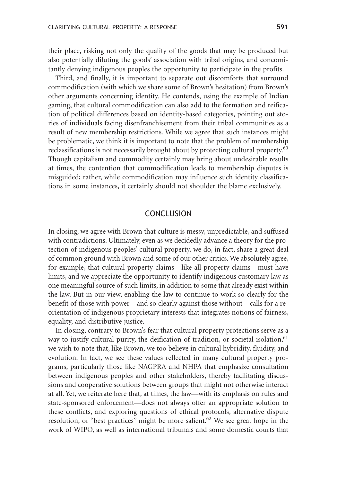their place, risking not only the quality of the goods that may be produced but also potentially diluting the goods' association with tribal origins, and concomitantly denying indigenous peoples the opportunity to participate in the profits.

Third, and finally, it is important to separate out discomforts that surround commodification (with which we share some of Brown's hesitation) from Brown's other arguments concerning identity. He contends, using the example of Indian gaming, that cultural commodification can also add to the formation and reification of political differences based on identity-based categories, pointing out stories of individuals facing disenfranchisement from their tribal communities as a result of new membership restrictions. While we agree that such instances might be problematic, we think it is important to note that the problem of membership reclassifications is not necessarily brought about by protecting cultural property.<sup>60</sup> Though capitalism and commodity certainly may bring about undesirable results at times, the contention that commodification leads to membership disputes is misguided; rather, while commodification may influence such identity classifications in some instances, it certainly should not shoulder the blame exclusively.

## CONCLUSION

In closing, we agree with Brown that culture is messy, unpredictable, and suffused with contradictions. Ultimately, even as we decidedly advance a theory for the protection of indigenous peoples' cultural property, we do, in fact, share a great deal of common ground with Brown and some of our other critics. We absolutely agree, for example, that cultural property claims—like all property claims—must have limits, and we appreciate the opportunity to identify indigenous customary law as one meaningful source of such limits, in addition to some that already exist within the law. But in our view, enabling the law to continue to work so clearly for the benefit of those with power—and so clearly against those without—calls for a reorientation of indigenous proprietary interests that integrates notions of fairness, equality, and distributive justice.

In closing, contrary to Brown's fear that cultural property protections serve as a way to justify cultural purity, the deification of tradition, or societal isolation,  $61$ we wish to note that, like Brown, we too believe in cultural hybridity, fluidity, and evolution. In fact, we see these values reflected in many cultural property programs, particularly those like NAGPRA and NHPA that emphasize consultation between indigenous peoples and other stakeholders, thereby facilitating discussions and cooperative solutions between groups that might not otherwise interact at all. Yet, we reiterate here that, at times, the law—with its emphasis on rules and state-sponsored enforcement—does not always offer an appropriate solution to these conflicts, and exploring questions of ethical protocols, alternative dispute resolution, or "best practices" might be more salient.<sup>62</sup> We see great hope in the work of WIPO, as well as international tribunals and some domestic courts that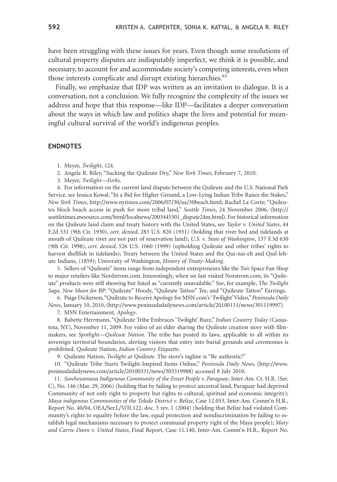have been struggling with these issues for years. Even though some resolutions of cultural property disputes are indisputably imperfect, we think it is possible, and necessary, to account for and accommodate society's competing interests, even when those interests complicate and disrupt existing hierarchies.<sup>63</sup>

Finally, we emphasize that IDP was written as an invitation to dialogue. It is a conversation, not a conclusion. We fully recognize the complexity of the issues we address and hope that this response—like IDP—facilitates a deeper conversation about the ways in which law and politics shape the lives and potential for meaningful cultural survival of the world's indigenous peoples.

#### **ENDNOTES**

- 1. Meyer, *Twilight*, 124.
- 2. Angela R. Riley, "Sucking the Quileute Dry," *New York Times*, February 7, 2010.
- 3. Meyer, *Twilight—Forks*.

4. For information on the current land dispute between the Quileute and the U.S. National Park Service, see Jessica Kowal, "In a Bid for Higher Ground, a Low-Lying Indian Tribe Raises the Stakes," *New York Times*, http://www.nytimes.com/2006/07/30/us/30beach.html; Rachel La Corte; "Quileutes block beach access in push for more tribal land," Seattle Times, 24 November 2006,  $\hbar t$ tp:// seattletimes.nwsource.com/html/localnews/2003445301\_dispute24m.html). For historical information on the Quileute land claim and treaty history with the United States, see *Taylor v. United States*, 44 F.2d 531 (9th Cir. 1930), *cert. denied*, 283 U.S. 820 (1931) (holding that river bed and tidelands at mouth of Quileute river are not part of reservation land); *U.S. v. State of Washington*, 157 F.3d 630 (9th Cir. 1998), *cert. denied*, 526 U.S. 1060 (1999) (upholding Quileute and other tribes' rights to harvest shellfish in tidelands); Treaty between the United States and the Qui-nai-elt and Quil-lehute Indians, (1859); University of Washington, *History of Treaty-Making*.

5. Sellers of "Quileute" items range from independent entrepreneurs like the Twi-Space Fan Shop to major retailers like Nordstrom.com. Interestingly, when we last visited Norstrom.com, its "Quileute" products were still showing but listed as "currently unavailable." See, for example, *The Twilight Saga, New Moon for BP*: "Quileute" Hoody, "Quileute Tattoo" Tee, and "Quileute Tattoo" Earrings.

6. Paige Dickerson,"Quileute to Receive Apology for MSN.com's'Twilight'Video,"*Peninsula Daily News*, January 10, 2010,  $\langle$ http://www.peninsuladailynews.com/article/20100111/news/301119997 $\rangle$ .

7. MSN Entertainment, *Apology*.

8. Babette Herrmann, "Quileute Tribe Embraces 'Twilight' Buzz," *Indian Country Today* (Canastota, NY), November 11, 2009. For video of an elder sharing the Quileute creation story with filmmakers, see *Spotlight—Quileute Nation*. The tribe has posted its laws, applicable to all within its sovereign territorial boundaries, alerting visitors that entry into burial grounds and ceremonies is prohibited. Quileute Nation, *Indian Country Etiquette*.

9. Quileute Nation, *Twilight at Quileute*. The store's tagline is "Be authentic!"

10. "Quileute Tribe Starts Twilight-Inspired Items Online," *Peninsula Daily News*,  $\frac{\hbar}{\hbar}$  /http://www. peninsuladailynews.com/article/20100331/news/303319988) accessed 8 July 2010.

11. *Sawhoyamaxa Indigenous Community of the Enxet People v. Paraguay*, Inter-Am. Ct. H.R. (Ser. C), No. 146 (Mar. 29, 2006) (holding that by failing to protect ancestral land, Paraguay had deprived Community of not only right to property but rights to cultural, spiritual and economic integrity); *Maya indigenous Communities of the Toledo District v. Belize*, Case 12.053, Inter-Am. Comm'n H.R., Report No. 40/04, OEA/Ser.L/V/II.122, doc. 5 rev. 1 (2004) (holding that Belize had violated Community's rights to equality before the law, equal protection and nondiscrimination by failing to establish legal mechanisms necessary to protect communal property right of the Maya people); *Mary and Carrie Dann v. United States*, Final Report, Case 11.140, Inter-Am. Comm'n H.R., Report No.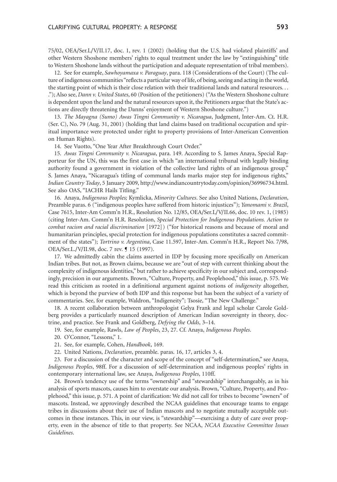75/02, OEA/Ser.L/V/II.17, doc. 1, rev. 1 (2002) (holding that the U.S. had violated plaintiffs' and other Western Shoshone members' rights to equal treatment under the law by "extinguishing" title to Western Shoshone lands without the participation and adequate representation of tribal members).

12. See for example, *Sawhoyamaxa v. Paraguay*, para. 118 (Considerations of the Court) (The culture of indigenous communities"reflects a particular way of life, of being, seeing and acting in the world, the starting point of which is their close relation with their traditional lands and natural resources. . . ."); Also see, *Dann v. United States*, 60 (Position of the petitioners) ("As the Western Shoshone culture is dependent upon the land and the natural resources upon it, the Petitioners argue that the State's actions are directly threatening the Danns' enjoyment of Western Shoshone culture.")

13. *The Mayagna (Sumo) Awas Tingni Community v. Nicaragua*, Judgment, Inter-Am. Ct. H.R. (Ser. C), No. 79 (Aug. 31, 2001) (holding that land claims based on traditional occupation and spiritual importance were protected under right to property provisions of Inter-American Convention on Human Rights).

14. See Vuotto, "One Year After Breakthrough Court Order."

15. *Awas Tingni Community v. Nicaragua*, para. 149. According to S. James Anaya, Special Rapporteur for the UN, this was the first case in which "an international tribunal with legally binding authority found a government in violation of the collective land rights of an indigenous group." S. James Anaya, "Nicaragua's titling of communal lands marks major step for indigenous rights," *Indian Country Today*, 5 January 2009, http://www.indiancountrytoday.com/opinion/36996734.html. See also OAS, "IACHR Hails Titling."

16. Anaya, *Indigenous Peoples;* Kymlicka, *Minority Cultures*. See also United Nations, *Declaration*, Preamble paras. 6 ("indigenous peoples have suffered from historic injustices"); *Yanomami v. Brazil*, Case 7615, Inter-Am Comm'n H.R., Resolution No. 12/85, OEA/Ser.L/V/II.66, doc. 10 rev. 1, (1985) (citing Inter-Am. Comm'n H.R. Resolution, *Special Protection for Indigenous Populations. Action to combat racism and racial discrimination* [1972] ) ("for historical reasons and because of moral and humanitarian principles, special protection for indigenous populations constitutes a sacred commitment of the states"); *Tortrino v. Argentina*, Case 11.597, Inter-Am. Comm'n H.R., Report No. 7/98, OEA/Ser.L./V/II.98, doc. 7 rev. ¶ 15 (1997).

17. We admittedly cabin the claims asserted in IDP by focusing more specifically on American Indian tribes. But not, as Brown claims, because we are "out of step with current thinking about the complexity of indigenous identities," but rather to achieve specificity in our subject and, correspondingly, precision in our arguments. Brown, "Culture, Property, and Peoplehood," this issue, p. 575. We read this criticism as rooted in a definitional argument against notions of *indigeneity* altogether, which is beyond the purview of both IDP and this response but has been the subject of a variety of commentaries. See, for example, Waldron, "Indigeneity"; Tsosie, "The New Challenge."

18. A recent collaboration between anthropologist Gelya Frank and legal scholar Carole Goldberg provides a particularly nuanced description of American Indian sovereignty in theory, doctrine, and practice. See Frank and Goldberg, *Defying the Odds*, 3–14.

- 19. See, for example, Rawls, *Law of Peoples*, 23, 27. Cf. Anaya, *Indigenous Peoples*.
- 20. O'Connor, "Lessons," 1.
- 21. See, for example, Cohen, *Handbook*, 169.
- 22. United Nations, *Declaration*, preamble. paras. 16, 17, articles 3, 4.

23. For a discussion of the character and scope of the concept of "self-determination," see Anaya, *Indigenous Peoples*, 98ff. For a discussion of self-determination and indigenous peoples' rights in contemporary international law, see Anaya, *Indigenous Peoples*, 110ff.

24. Brown's tendency use of the terms "ownership" and "stewardship" interchangeably, as in his analysis of sports mascots, causes him to overstate our analysis. Brown, "Culture, Property, and Peoplehood," this issue, p. 571. A point of clarification: We did not call for tribes to become "owners" of mascots. Instead, we approvingly described the NCAA guidelines that encourage teams to engage tribes in discussions about their use of Indian mascots and to negotiate mutually acceptable outcomes in these instances. This, in our view, is "stewardship"—exercising a duty of care over property, even in the absence of title to that property. See NCAA, *NCAA Executive Committee Issues Guidelines*.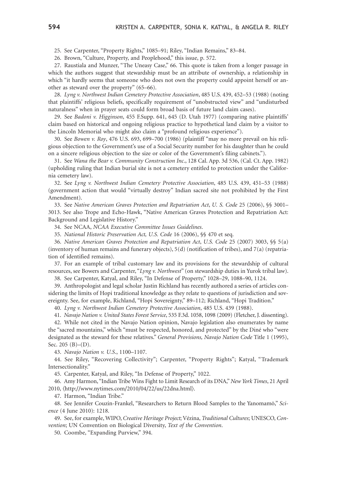25. See Carpenter, "Property Rights," 1085–91; Riley, "Indian Remains," 83–84.

26. Brown, "Culture, Property, and Peoplehood," this issue, p. 572.

27. Raustiala and Munzer, "The Uneasy Case," 66. This quote is taken from a longer passage in which the authors suggest that stewardship must be an attribute of ownership, a relationship in which "it hardly seems that someone who does not own the property could appoint herself or another as steward over the property" (65–66).

28. *Lyng v. Northwest Indian Cemetery Protective Association*, 485 U.S. 439, 452–53 (1988) (noting that plaintiffs' religious beliefs, specifically requirement of "unobstructed view" and "undisturbed naturalness" when in prayer seats could form broad basis of future land claim cases).

29. See *Badoni v. Higginson*, 455 F.Supp. 641, 645 (D. Utah 1977) (comparing native plaintiffs' claim based on historical and ongoing religious practice to hypothetical land claim by a visitor to the Lincoln Memorial who might also claim a "profound religious experience").

30. See *Bowen v. Roy*, 476 U.S. 693, 699–700 (1986) (plaintiff "may no more prevail on his religious objection to the Government's use of a Social Security number for his daughter than he could on a sincere religious objection to the size or color of the Government's filing cabinets.").

31. See *Wana the Bear v. Community Construction Inc*., 128 Cal. App. 3d 536, (Cal. Ct. App. 1982) (upholding ruling that Indian burial site is not a cemetery entitled to protection under the California cemetery law).

32. See *Lyng v. Northwest Indian Cemetery Protective Association*, 485 U.S. 439, 451–53 (1988) (government action that would "virtually destroy" Indian sacred site not prohibited by the First Amendment).

33. See *Native American Graves Protection and Repatriation Act*, *U. S. Code* 25 (2006), §§ 3001– 3013. See also Trope and Echo-Hawk, "Native American Graves Protection and Repatriation Act: Background and Legislative History."

34. See NCAA, *NCAA Executive Committee Issues Guidelines*.

35. *National Historic Preservation Act, U.S. Code* 16 (2006), §§ 470 et seq.

36. *Native American Graves Protection and Repatriation Act*, *U.S. Code* 25 (2007) 3003, §§ 5(a) (inventory of human remains and funerary objects), 5(d) (notification of tribes), and 7(a) (repatriation of identified remains).

37. For an example of tribal customary law and its provisions for the stewardship of cultural resources, see Bowers and Carpenter, "*Lyng v. Northwest*" (on stewardship duties in Yurok tribal law).

38. See Carpenter, Katyal, and Riley, "In Defense of Property," 1028–29, 1088–90, 1124.

39. Anthropologist and legal scholar Justin Richland has recently authored a series of articles considering the limits of Hopi traditional knowledge as they relate to questions of jurisdiction and sovereignty. See, for example, Richland, "Hopi Sovereignty," 89–112; Richland, "Hopi Tradition."

40. *Lyng v. Northwest Indian Cemetery Protective Association*, 485 U.S. 439 (1988).

41. *Navajo Nation v. United States Forest Service*, 535 F.3d. 1058, 1098 (2009) (Fletcher, J. dissenting).

42. While not cited in the Navajo Nation opinion, Navajo legislation also enumerates by name the "sacred mountains," which "must be respected, honored, and protected" by the Diné who "were designated as the steward for these relatives." *General Provisions, Navajo Nation Code* Title 1 (1995), Sec. 205 (B)–(D).

43. *Navajo Nation v. U.S*., 1100–1107.

44. See Riley, "Recovering Collectivity"; Carpenter, "Property Rights"; Katyal, "Trademark Intersectionality."

45. Carpenter, Katyal, and Riley, "In Defense of Property," 1022.

46. Amy Harmon, "Indian Tribe Wins Fight to Limit Research of its DNA," *New York Times*, 21 April 2010,  $\langle$ http://www.nytimes.com/2010/04/22/us/22dna.html $\rangle$ .

47. Harmon, "Indian Tribe."

48. See Jennifer Couzin-Frankel, "Researchers to Return Blood Samples to the Yanomamö," *Science* (4 June 2010): 1218.

49. See, for example, WIPO, *Creative Heritage Project*; Vézina, *Traditional Cultures*; UNESCO, *Convention*; UN Convention on Biological Diversity, *Text of the Convention*.

50. Coombe, "Expanding Purview," 394.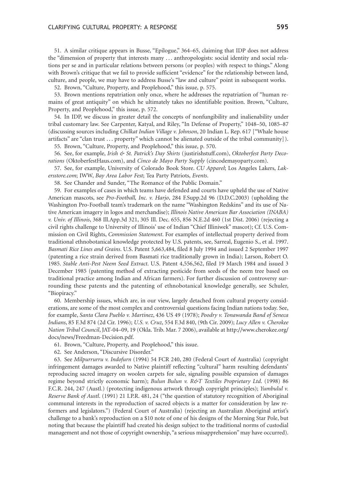51. A similar critique appears in Busse, "Epilogue," 364–65, claiming that IDP does not address the "dimension of property that interests many . . . anthropologists: social identity and social relations per se and in particular relations between persons (or peoples) with respect to things." Along with Brown's critique that we fail to provide sufficient "evidence" for the relationship between land, culture, and people, we may have to address Busse's "law and culture" point in subsequent works.

52. Brown, "Culture, Property, and Peoplehood," this issue, p. 575.

53. Brown mentions repatriation only once, where he addresses the repatriation of "human remains of great antiquity" on which he ultimately takes no identifiable position. Brown, "Culture, Property, and Peoplehood," this issue, p. 572.

54. In IDP, we discuss in greater detail the concepts of nonfungibility and inalienability under tribal customary law. See Carpenter, Katyal, and Riley, "In Defense of Property," 1048–50, 1085–87 (discussing sources including *Chilkat Indian Village v. Johnson*, 20 Indian L. Rep. 617 ["Whale house artifacts" are "clan trust . . . property" which cannot be alienated outside of the tribal community]).

55. Brown, "Culture, Property, and Peoplehood," this issue, p. 570.

56. See, for example, *Irish & St. Patrick's Day Shirts* (justirishstuff.com), *Oktoberfest Party Decorations* (OktoberfestHaus.com), and *Cinco de Mayo Party Supply* (cincodemayoparty.com).

57. See, for example, University of Colorado Book Store. *CU Apparel*; Los Angeles Lakers, *Lakersstore.com*; IWW, *Bay Area Labor Fest*; Tea Party Patriots, *Events*.

58. See Chander and Sunder, "The Romance of the Public Domain."

59. For examples of cases in which teams have defended and courts have upheld the use of Native American mascots, see *Pro-Football, Inc. v. Harjo*, 284 F.Supp.2d 96 (D.D.C.2003) (upholding the Washington Pro-Football team's trademark on the name "Washington Redskins" and its use of Native American imagery in logos and merchandise); *Illinois Native American Bar Association (INABA) v. Univ. of Illinois*, 368 Ill.App.3d 321, 305 Ill. Dec. 655, 856 N.E.2d 460 (1st Dist. 2006) (rejecting a civil rights challenge to University of Illinois' use of Indian "Chief Illiniwek" mascot); Cf. U.S. Commission on Civil Rights, *Commission Statement*. For examples of intellectual property derived from traditional ethnobotanical knowledge protected by U.S. patents, see, Sarreal, Eugenio S., et al. 1997. *Basmati Rice Lines and Grains*. U.S. Patent 5,663,484, filed 8 July 1994 and issued 2 September 1997 (patenting a rice strain derived from Basmati rice traditionally grown in India); Larson, Robert O. 1985. *Stable Anti-Pest Neem Seed Extract*. U.S. Patent 4,556,562, filed 19 March 1984 and issued 3 December 1985 (patenting method of extracting pesticide from seeds of the neem tree based on traditional practice among Indian and African farmers). For further discussion of controversy surrounding these patents and the patenting of ethnobotanical knowledge generally, see Schuler, "Biopiracy."

60. Membership issues, which are, in our view, largely detached from cultural property considerations, are some of the most complex and controversial questions facing Indian nations today. See, for example, *Santa Clara Pueblo v. Martinez*, 436 US 49 (1978); *Poodry v. Tonawanda Band of Seneca Indians*, 85 F.3d 874 (2d Cir. 1996); *U.S. v. Cruz*, 554 F.3d 840, (9th Cir. 2009); *Lucy Allen v. Cherokee Nation Tribal Council*, JAT-04–09, 19 (Okla. Trib. Mar. 7 2006), available at http://www.cherokee.org/ docs/news/Freedman-Decision.pdf.

61. Brown, "Culture, Property, and Peoplehood," this issue.

62. See Anderson, "Discursive Disorder."

63. See *Milpurrurru v. Indofurn* (1994) 54 FCR 240, 280 (Federal Court of Australia) (copyright infringement damages awarded to Native plaintiff reflecting "cultural" harm resulting defendants' reproducing sacred imagery on woolen carpets for sale, signaling possible expansion of damages regime beyond strictly economic harm); *Bulun Bulun v. R&T Textiles Proprietary Ltd*. (1998) 86 F.C.R. 244, 247 (Austl.) (protecting indigenous artwork through copyright principles); *Yumbulul v. Reserve Bank of Austl*. (1991) 21 I.P.R. 481, 24 ("the question of statutory recognition of Aboriginal communal interests in the reproduction of sacred objects is a matter for consideration by law reformers and legislators.") (Federal Court of Australia) (rejecting an Australian Aboriginal artist's challenge to a bank's reproduction on a \$10 note of one of his designs of the Morning Star Pole, but noting that because the plaintiff had created his design subject to the traditional norms of custodial management and not those of copyright ownership, "a serious misapprehension" may have occurred).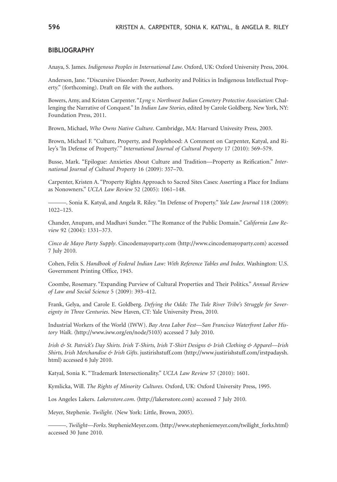### **BIBLIOGRAPHY**

Anaya, S. James. *Indigenous Peoples in International Law*. Oxford, UK: Oxford University Press, 2004.

Anderson, Jane. "Discursive Disorder: Power, Authority and Politics in Indigenous Intellectual Property." (forthcoming). Draft on file with the authors.

Bowers, Amy, and Kristen Carpenter. "*Lyng v. Northwest Indian Cemetery Protective Association*: Challenging the Narrative of Conquest." In *Indian Law Stories*, edited by Carole Goldberg. New York, NY: Foundation Press, 2011.

Brown, Michael, *Who Owns Native Culture*. Cambridge, MA: Harvard Univesity Press, 2003.

Brown, Michael F. "Culture, Property, and Peoplehood: A Comment on Carpenter, Katyal, and Riley's 'In Defense of Property.'" *International Journal of Cultural Property* 17 (2010): 569–579.

Busse, Mark. "Epilogue: Anxieties About Culture and Tradition—Property as Reification." *International Journal of Cultural Property* 16 (2009): 357–70.

Carpenter, Kristen A. "Property Rights Approach to Sacred Sites Cases: Asserting a Place for Indians as Nonowners." *UCLA Law Review* 52 (2005): 1061–148.

———. Sonia K. Katyal, and Angela R. Riley. "In Defense of Property." *Yale Law Journal* 118 (2009): 1022–125.

Chander, Anupam, and Madhavi Sunder. "The Romance of the Public Domain." *California Law Review* 92 (2004): 1331–373.

*Cinco de Mayo Party Supply*. Cincodemayoparty.com (http://www.cincodemayoparty.com) accessed 7 July 2010.

Cohen, Felix S. *Handbook of Federal Indian Law: With Reference Tables and Index*. Washington: U.S. Government Printing Office, 1945.

Coombe, Rosemary. "Expanding Purview of Cultural Properties and Their Politics." *Annual Review of Law and Social Science* 5 (2009): 393–412.

Frank, Gelya, and Carole E. Goldberg. *Defying the Odds: The Tule River Tribe's Struggle for Sovereignty in Three Centuries*. New Haven, CT: Yale University Press, 2010.

Industrial Workers of the World (IWW). *Bay Area Labor Fest—San Francisco Waterfront Labor His*tory Walk. (http://www.iww.org/en/node/5103) accessed 7 July 2010.

*Irish & St. Patrick's Day Shirts. Irish T-Shirts, Irish T-Shirt Designs & Irish Clothing & Apparel—Irish Shirts, Irish Merchandise & Irish Gifts*. justirishstuff.com (http://www.justirishstuff.com/irstpadaysh. html) accessed 6 July 2010.

Katyal, Sonia K. "Trademark Intersectionality." *UCLA Law Review* 57 (2010): 1601.

Kymlicka, Will. *The Rights of Minority Cultures*. Oxford, UK: Oxford University Press, 1995.

Los Angeles Lakers. *Lakersstore.com*.  $\langle$ http://lakersstore.com $\rangle$  accessed 7 July 2010.

Meyer, Stephenie. *Twilight*. (New York: Little, Brown, 2005).

———. *Twilight—Forks*. StephenieMeyer.com. !http://www.stepheniemeyer.com/twilight\_forks.html" accessed 30 June 2010.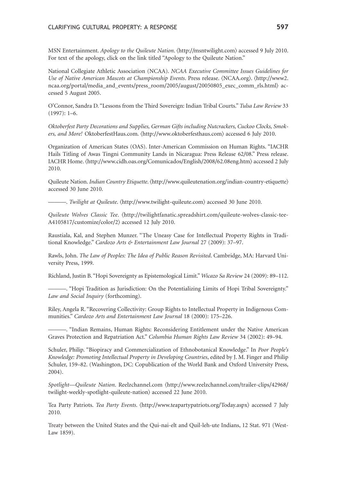MSN Entertainment. *Apology to the Quileute Nation*. (http://msntwilight.com) accessed 9 July 2010. For text of the apology, click on the link titled "Apology to the Quileute Nation."

National Collegiate Athletic Association (NCAA). *NCAA Executive Committee Issues Guidelines for Use of Native American Mascots at Championship Events*. Press release.  $\langle NCAA.org \rangle$ .  $\langle http://www2.$ ncaa.org/portal/media\_and\_events/press\_room/2005/august/20050805\_exec\_comm\_rls.html) accessed 5 August 2005.

O'Connor, Sandra D. "Lessons from the Third Sovereign: Indian Tribal Courts." *Tulsa Law Review* 33 (1997): 1–6.

*Oktoberfest Party Decorations and Supplies, German Gifts including Nutcrackers, Cuckoo Clocks, Smok*ers, and More! OktoberfestHaus.com. (http://www.oktoberfesthaus.com) accessed 6 July 2010.

Organization of American States (OAS). Inter-American Commission on Human Rights. "IACHR Hails Titling of Awas Tingni Community Lands in Nicaragua: Press Release 62/08." Press release. IACHR Home. (http://www.cidh.oas.org/Comunicados/English/2008/62.08eng.htm) accessed 2 July 2010.

Quileute Nation. *Indian Country Etiquette*. (http://www.quileutenation.org/indian-country-etiquette) accessed 30 June 2010.

- Twilight at Quileute. (http://www.twilight-quileute.com) accessed 30 June 2010.

*Quileute Wolves Classic Tee*. !http://twilightfanatic.spreadshirt.com/quileute-wolves-classic-tee-A4105817/customize/color/2 $\rangle$  accessed 12 July 2010.

Raustiala, Kal, and Stephen Munzer. "The Uneasy Case for Intellectual Property Rights in Traditional Knowledge." *Cardozo Arts & Entertainment Law Journal* 27 (2009): 37–97.

Rawls, John. *The Law of Peoples: The Idea of Public Reason Revisited*. Cambridge, MA: Harvard University Press, 1999.

Richland, Justin B. "Hopi Sovereignty as Epistemological Limit." *Wicazo Sa Review* 24 (2009): 89–112.

———. "Hopi Tradition as Jurisdiction: On the Potentializing Limits of Hopi Tribal Sovereignty." *Law and Social Inquiry* (forthcoming).

Riley, Angela R. "Recovering Collectivity: Group Rights to Intellectual Property in Indigenous Communities." *Cardozo Arts and Entertainment Law Journal* 18 (2000): 175–226.

———. "Indian Remains, Human Rights: Reconsidering Entitlement under the Native American Graves Protection and Repatriation Act." *Columbia Human Rights Law Review* 34 (2002): 49–94.

Schuler, Philip. "Biopiracy and Commercialization of Ethnobotanical Knowledge." In *Poor People's Knowledge: Promoting Intellectual Property in Developing Countries*, edited by J. M. Finger and Philip Schuler, 159–82. (Washington, DC: Copublication of the World Bank and Oxford University Press, 2004).

Spotlight-Quileute Nation. Reelzchannel.com (http://www.reelzchannel.com/trailer-clips/42968/ twilight-weekly-spotlight-quileute-nation) accessed 22 June 2010.

Tea Party Patriots. *Tea Party Events*. (http://www.teapartypatriots.org/Today.aspx) accessed 7 July 2010.

Treaty between the United States and the Qui-nai-elt and Quil-leh-ute Indians, 12 Stat. 971 (West-Law 1859).